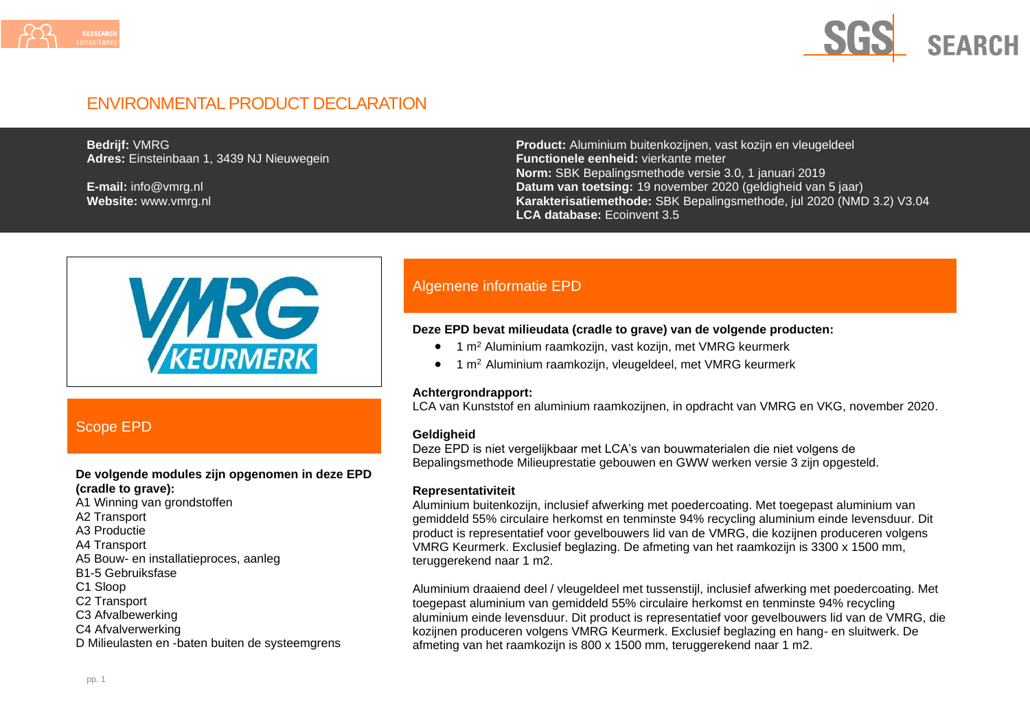



## ENVIRONMENTAL PRODUCT DECLARATION

**Bedrijf:** VMRG **Adres:** Einsteinbaan 1, 3439 NJ Nieuwegein

**E-mail:** info@vmrg.nl **Website:** www.vmrg.nl **Product:** Aluminium buitenkozijnen, vast kozijn en vleugeldeel **Functionele eenheid:** vierkante meter **Norm:** SBK Bepalingsmethode versie 3.0, 1 januari 2019 **Datum van toetsing:** 19 november 2020 (geldigheid van 5 jaar) **Karakterisatiemethode:** SBK Bepalingsmethode, jul 2020 (NMD 3.2) V3.04 **LCA database:** Ecoinvent 3.5



### Scope EPD

#### **De volgende modules zijn opgenomen in deze EPD (cradle to grave):**

- A1 Winning van grondstoffen
- A2 Transport
- A3 Productie
- A4 Transport
- A5 Bouw- en installatieproces, aanleg
- B1-5 Gebruiksfase
- C1 Sloop
- C2 Transport
- C3 Afvalbewerking
- C4 Afvalverwerking
- D Milieulasten en -baten buiten de systeemgrens

### Algemene informatie EPD

#### **Deze EPD bevat milieudata (cradle to grave) van de volgende producten:**

- 1 m<sup>2</sup> Aluminium raamkozijn, vast kozijn, met VMRG keurmerk
- 1 m<sup>2</sup> Aluminium raamkozijn, vleugeldeel, met VMRG keurmerk

#### **Achtergrondrapport:**

LCA van Kunststof en aluminium raamkozijnen, in opdracht van VMRG en VKG, november 2020.

#### **Geldigheid**

Deze EPD is niet vergelijkbaar met LCA's van bouwmaterialen die niet volgens de Bepalingsmethode Milieuprestatie gebouwen en GWW werken versie 3 zijn opgesteld.

#### **Representativiteit**

Aluminium buitenkozijn, inclusief afwerking met poedercoating. Met toegepast aluminium van gemiddeld 55% circulaire herkomst en tenminste 94% recycling aluminium einde levensduur. Dit product is representatief voor gevelbouwers lid van de VMRG, die kozijnen produceren volgens VMRG Keurmerk. Exclusief beglazing. De afmeting van het raamkozijn is 3300 x 1500 mm, teruggerekend naar 1 m2.

Aluminium draaiend deel / vleugeldeel met tussenstijl, inclusief afwerking met poedercoating. Met toegepast aluminium van gemiddeld 55% circulaire herkomst en tenminste 94% recycling aluminium einde levensduur. Dit product is representatief voor gevelbouwers lid van de VMRG, die kozijnen produceren volgens VMRG Keurmerk. Exclusief beglazing en hang- en sluitwerk. De afmeting van het raamkozijn is 800 x 1500 mm, teruggerekend naar 1 m2.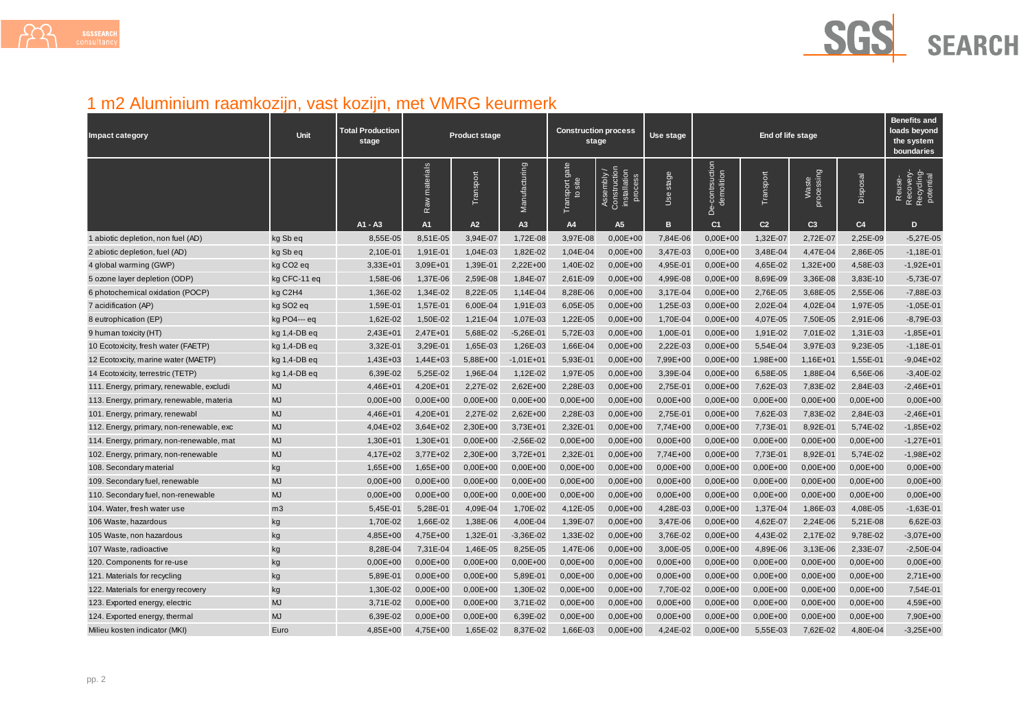

# 1 m2 Aluminium raamkozijn, vast kozijn, met VMRG keurmerk

| <b>Impact category</b>                    | Unit                  | <b>Total Production</b><br>stage | <b>Product stage</b> |              |               | <b>Construction process</b><br>stage |                                                       | Use stage    | End of life stage                |                |                     |                | <b>Benefits and</b><br>loads beyond<br>the system<br>boundaries |
|-------------------------------------------|-----------------------|----------------------------------|----------------------|--------------|---------------|--------------------------------------|-------------------------------------------------------|--------------|----------------------------------|----------------|---------------------|----------------|-----------------------------------------------------------------|
|                                           |                       |                                  | materials<br>Raw     | Transport    | Manufacturing | Transport gate<br>to site            | Assembly /<br>Construction<br>installation<br>process | stage<br>Use | -contrsuction<br>demolition<br>ف | Transport      | processing<br>Waste | Disposal       | Recovery-<br>Recycling-<br>potential<br>Reuse                   |
|                                           |                       | A1 - A3                          | A <sub>1</sub>       | A2           | A3            | A4                                   | A <sub>5</sub>                                        | в            | C <sub>1</sub>                   | C <sub>2</sub> | C <sub>3</sub>      | C <sub>4</sub> | D                                                               |
| 1 abiotic depletion, non fuel (AD)        | kg Sb eq              | 8,55E-05                         | 8,51E-05             | 3,94E-07     | 1,72E-08      | 3,97E-08                             | $0,00E+00$                                            | 7,84E-06     | $0,00E+00$                       | 1,32E-07       | 2,72E-07            | 2,25E-09       | $-5,27E-05$                                                     |
| 2 abiotic depletion, fuel (AD)            | kg Sb eg              | 2,10E-01                         | 1,91E-01             | 1,04E-03     | 1,82E-02      | 1,04E-04                             | $0,00E+00$                                            | 3,47E-03     | $0,00E+00$                       | 3,48E-04       | 4,47E-04            | 2,86E-05       | $-1,18E-01$                                                     |
| 4 global warming (GWP)                    | kg CO <sub>2</sub> eq | 3,33E+01                         | $3,09E + 01$         | 1,39E-01     | 2,22E+00      | 1,40E-02                             | $0,00E+00$                                            | 4,95E-01     | $0,00E+00$                       | 4,65E-02       | 1,32E+00            | 4,58E-03       | $-1,92E+01$                                                     |
| 5 ozone layer depletion (ODP)             | kg CFC-11 eq          | 1,58E-06                         | 1,37E-06             | 2,59E-08     | 1,84E-07      | 2,61E-09                             | $0,00E+00$                                            | 4,99E-08     | $0,00E+00$                       | 8,69E-09       | 3,36E-08            | 3,83E-10       | $-5,73E-07$                                                     |
| 6 photochemical oxidation (POCP)          | kg C2H4               | 1,36E-02                         | 1,34E-02             | 8,22E-05     | 1,14E-04      | 8,28E-06                             | $0,00E+00$                                            | 3,17E-04     | $0,00E+00$                       | 2,76E-05       | 3,68E-05            | 2,55E-06       | $-7,88E-03$                                                     |
| 7 acidification (AP)                      | kg SO <sub>2</sub> eq | 1,59E-01                         | 1,57E-01             | 6,00E-04     | 1,91E-03      | 6,05E-05                             | $0,00E + 00$                                          | 1,25E-03     | $0,00E+00$                       | 2,02E-04       | 4,02E-04            | 1,97E-05       | $-1,05E-01$                                                     |
| 8 eutrophication (EP)                     | kg PO4--- eg          | 1,62E-02                         | 1,50E-02             | 1,21E-04     | 1,07E-03      | 1,22E-05                             | $0,00E+00$                                            | 1,70E-04     | $0,00E+00$                       | 4,07E-05       | 7,50E-05            | 2,91E-06       | $-8,79E-03$                                                     |
| 9 human toxicity (HT)                     | kg 1,4-DB eq          | 2,43E+01                         | 2,47E+01             | 5,68E-02     | $-5,26E-01$   | 5,72E-03                             | $0,00E+00$                                            | 1,00E-01     | $0,00E+00$                       | 1,91E-02       | 7,01E-02            | 1,31E-03       | $-1,85E+01$                                                     |
| 10 Ecotoxicity, fresh water (FAETP)       | kg 1,4-DB eq          | 3,32E-01                         | 3,29E-01             | 1,65E-03     | 1,26E-03      | 1,66E-04                             | $0,00E+00$                                            | 2,22E-03     | $0,00E+00$                       | 5,54E-04       | 3,97E-03            | 9,23E-05       | $-1,18E-01$                                                     |
| 12 Ecotoxcity, marine water (MAETP)       | kg 1,4-DB eg          | 1,43E+03                         | $1,44E+03$           | 5,88E+00     | $-1,01E+01$   | 5,93E-01                             | $0,00E+00$                                            | 7,99E+00     | $0,00E+00$                       | 1,98E+00       | 1,16E+01            | 1,55E-01       | $-9,04E+02$                                                     |
| 14 Ecotoxicity, terrestric (TETP)         | kg 1,4-DB eq          | 6,39E-02                         | 5,25E-02             | 1,96E-04     | 1,12E-02      | 1,97E-05                             | $0,00E+00$                                            | 3,39E-04     | $0,00E+00$                       | 6,58E-05       | 1,88E-04            | 6,56E-06       | $-3,40E-02$                                                     |
| 111. Energy, primary, renewable, excludi  | <b>MJ</b>             | 4,46E+01                         | 4,20E+01             | 2,27E-02     | 2,62E+00      | 2,28E-03                             | $0,00E+00$                                            | 2,75E-01     | $0,00E+00$                       | 7,62E-03       | 7,83E-02            | 2,84E-03       | $-2,46E+01$                                                     |
| 113. Energy, primary, renewable, materia  | <b>MJ</b>             | $0,00E+00$                       | $0,00E + 00$         | $0,00E + 00$ | $0,00E+00$    | $0,00E + 00$                         | $0,00E + 00$                                          | $0,00E+00$   | $0,00E+00$                       | $0,00E+00$     | $0,00E+00$          | $0,00E+00$     | $0,00E+00$                                                      |
| 101. Energy, primary, renewabl            | <b>MJ</b>             | 4,46E+01                         | 4,20E+01             | 2,27E-02     | 2,62E+00      | 2,28E-03                             | $0,00E+00$                                            | 2,75E-01     | $0,00E+00$                       | 7,62E-03       | 7,83E-02            | 2,84E-03       | $-2,46E+01$                                                     |
| 112. Energy, primary, non-renewable, exc. | <b>MJ</b>             | 4,04E+02                         | $3,64E+02$           | 2,30E+00     | 3,73E+01      | 2,32E-01                             | $0,00E+00$                                            | 7,74E+00     | $0,00E+00$                       | 7,73E-01       | 8,92E-01            | 5,74E-02       | $-1,85E+02$                                                     |
| 114. Energy, primary, non-renewable, mat  | <b>MJ</b>             | 1,30E+01                         | 1,30E+01             | $0.00E + 00$ | $-2,56E-02$   | $0,00E+00$                           | $0,00E + 00$                                          | $0,00E+00$   | $0,00E+00$                       | $0,00E+00$     | $0,00E+00$          | $0,00E+00$     | $-1,27E+01$                                                     |
| 102. Energy, primary, non-renewable       | <b>MJ</b>             | 4,17E+02                         | 3,77E+02             | 2,30E+00     | 3,72E+01      | 2,32E-01                             | $0,00E+00$                                            | 7,74E+00     | $0,00E+00$                       | 7,73E-01       | 8,92E-01            | 5,74E-02       | $-1,98E+02$                                                     |
| 108. Secondary material                   | kg                    | 1,65E+00                         | $1,65E+00$           | $0,00E+00$   | $0.00E + 00$  | $0,00E+00$                           | $0,00E+00$                                            | 0,00E+00     | $0,00E+00$                       | $0,00E+00$     | $0,00E+00$          | $0,00E+00$     | $0,00E+00$                                                      |
| 109. Secondary fuel, renewable            | <b>MJ</b>             | $0,00E+00$                       | $0,00E+00$           | $0,00E+00$   | $0,00E+00$    | $0,00E+00$                           | $0,00E+00$                                            | 0,00E+00     | $0,00E+00$                       | $0,00E+00$     | $0,00E+00$          | $0,00E+00$     | $0,00E+00$                                                      |
| 110. Secondary fuel, non-renewable        | <b>MJ</b>             | $0.00E + 00$                     | $0,00E+00$           | $0,00E+00$   | $0,00E + 00$  | $0,00E+00$                           | $0,00E+00$                                            | 0,00E+00     | $0,00E+00$                       | $0,00E+00$     | $0,00E+00$          | $0,00E+00$     | $0,00E+00$                                                      |
| 104. Water, fresh water use               | m <sub>3</sub>        | 5,45E-01                         | 5,28E-01             | 4,09E-04     | 1,70E-02      | 4,12E-05                             | $0,00E+00$                                            | 4,28E-03     | $0,00E+00$                       | 1,37E-04       | 1,86E-03            | 4,08E-05       | $-1,63E-01$                                                     |
| 106 Waste, hazardous                      | kg                    | 1,70E-02                         | 1,66E-02             | 1,38E-06     | 4,00E-04      | 1,39E-07                             | $0,00E+00$                                            | 3,47E-06     | $0,00E+00$                       | 4,62E-07       | 2,24E-06            | 5,21E-08       | 6,62E-03                                                        |
| 105 Waste, non hazardous                  | kg                    | 4,85E+00                         | 4,75E+00             | 1,32E-01     | $-3,36E-02$   | 1,33E-02                             | $0,00E+00$                                            | 3,76E-02     | $0,00E+00$                       | 4,43E-02       | 2,17E-02            | 9,78E-02       | $-3,07E+00$                                                     |
| 107 Waste, radioactive                    | kg                    | 8,28E-04                         | 7,31E-04             | 1,46E-05     | 8,25E-05      | 1,47E-06                             | $0,00E+00$                                            | 3,00E-05     | $0,00E+00$                       | 4,89E-06       | 3,13E-06            | 2,33E-07       | $-2,50E-04$                                                     |
| 120. Components for re-use                | kg                    | $0.00E + 00$                     | $0,00E+00$           | $0,00E+00$   | 0,00E+00      | $0,00E+00$                           | $0,00E+00$                                            | $0,00E+00$   | $0,00E+00$                       | $0,00E+00$     | $0,00E+00$          | $0,00E+00$     | $0,00E+00$                                                      |
| 121. Materials for recycling              | kg                    | 5,89E-01                         | $0,00E+00$           | $0.00E + 00$ | 5,89E-01      | $0,00E+00$                           | $0,00E+00$                                            | $0.00E + 00$ | $0,00E+00$                       | $0,00E+00$     | $0,00E+00$          | $0,00E+00$     | 2,71E+00                                                        |
| 122. Materials for energy recovery        | kg                    | 1,30E-02                         | $0,00E+00$           | $0,00E+00$   | 1,30E-02      | $0,00E+00$                           | $0,00E+00$                                            | 7,70E-02     | $0,00E+00$                       | $0,00E+00$     | $0,00E+00$          | $0,00E+00$     | 7,54E-01                                                        |
| 123. Exported energy, electric            | <b>MJ</b>             | 3,71E-02                         | $0,00E+00$           | $0,00E+00$   | 3,71E-02      | $0,00E+00$                           | $0,00E+00$                                            | $0,00E + 00$ | $0,00E+00$                       | $0,00E+00$     | $0,00E+00$          | $0,00E+00$     | 4,59E+00                                                        |
| 124. Exported energy, thermal             | <b>MJ</b>             | 6,39E-02                         | $0,00E+00$           | $0,00E+00$   | 6,39E-02      | $0,00E+00$                           | $0,00E+00$                                            | $0.00E + 00$ | $0,00E+00$                       | $0,00E+00$     | $0,00E+00$          | $0,00E+00$     | 7,90E+00                                                        |
| Milieu kosten indicator (MKI)             | Euro                  | 4,85E+00                         | 4,75E+00             | 1,65E-02     | 8,37E-02      | 1,66E-03                             | $0,00E+00$                                            | 4,24E-02     | $0,00E+00$                       | 5,55E-03       | 7,62E-02            | 4,80E-04       | $-3,25E+00$                                                     |